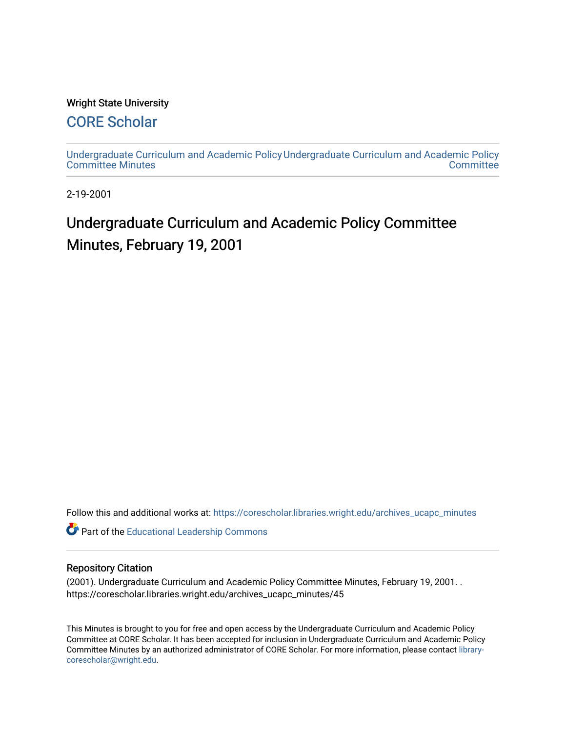#### Wright State University

## [CORE Scholar](https://corescholar.libraries.wright.edu/)

[Undergraduate Curriculum and Academic Policy](https://corescholar.libraries.wright.edu/archives_ucapc_minutes) [Undergraduate Curriculum and Academic Policy](https://corescholar.libraries.wright.edu/archives_ucapc)  [Committee Minutes](https://corescholar.libraries.wright.edu/archives_ucapc_minutes) **Committee** 

2-19-2001

# Undergraduate Curriculum and Academic Policy Committee Minutes, February 19, 2001

Follow this and additional works at: [https://corescholar.libraries.wright.edu/archives\\_ucapc\\_minutes](https://corescholar.libraries.wright.edu/archives_ucapc_minutes?utm_source=corescholar.libraries.wright.edu%2Farchives_ucapc_minutes%2F45&utm_medium=PDF&utm_campaign=PDFCoverPages) 

Part of the [Educational Leadership Commons](http://network.bepress.com/hgg/discipline/1230?utm_source=corescholar.libraries.wright.edu%2Farchives_ucapc_minutes%2F45&utm_medium=PDF&utm_campaign=PDFCoverPages) 

#### Repository Citation

(2001). Undergraduate Curriculum and Academic Policy Committee Minutes, February 19, 2001. . https://corescholar.libraries.wright.edu/archives\_ucapc\_minutes/45

This Minutes is brought to you for free and open access by the Undergraduate Curriculum and Academic Policy Committee at CORE Scholar. It has been accepted for inclusion in Undergraduate Curriculum and Academic Policy Committee Minutes by an authorized administrator of CORE Scholar. For more information, please contact [library](mailto:library-corescholar@wright.edu)[corescholar@wright.edu](mailto:library-corescholar@wright.edu).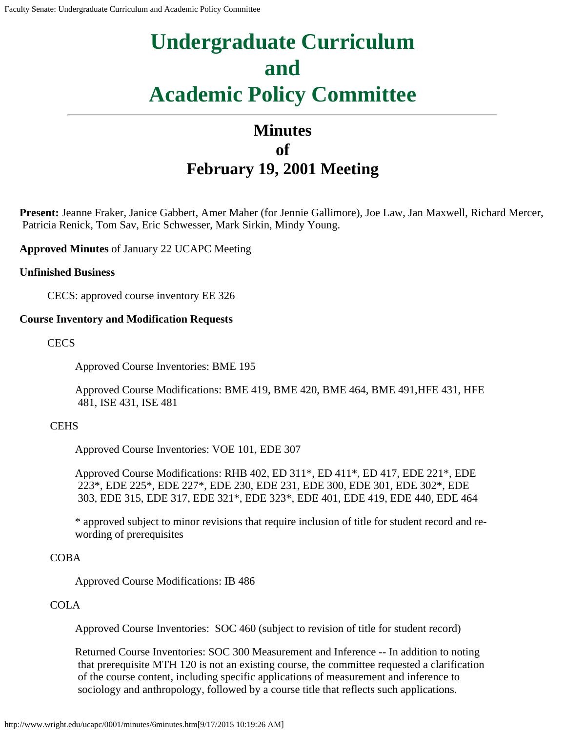# **Undergraduate Curriculum and Academic Policy Committee**

## **Minutes of February 19, 2001 Meeting**

**Present:** Jeanne Fraker, Janice Gabbert, Amer Maher (for Jennie Gallimore), Joe Law, Jan Maxwell, Richard Mercer, Patricia Renick, Tom Sav, Eric Schwesser, Mark Sirkin, Mindy Young.

**Approved Minutes** of January 22 UCAPC Meeting

#### **Unfinished Business**

CECS: approved course inventory EE 326

#### **Course Inventory and Modification Requests**

**CECS** 

Approved Course Inventories: BME 195

Approved Course Modifications: BME 419, BME 420, BME 464, BME 491,HFE 431, HFE 481, ISE 431, ISE 481

#### **CEHS**

Approved Course Inventories: VOE 101, EDE 307

Approved Course Modifications: RHB 402, ED 311\*, ED 411\*, ED 417, EDE 221\*, EDE 223\*, EDE 225\*, EDE 227\*, EDE 230, EDE 231, EDE 300, EDE 301, EDE 302\*, EDE 303, EDE 315, EDE 317, EDE 321\*, EDE 323\*, EDE 401, EDE 419, EDE 440, EDE 464

\* approved subject to minor revisions that require inclusion of title for student record and rewording of prerequisites

#### COBA

Approved Course Modifications: IB 486

#### **COLA**

Approved Course Inventories: SOC 460 (subject to revision of title for student record)

Returned Course Inventories: SOC 300 Measurement and Inference -- In addition to noting that prerequisite MTH 120 is not an existing course, the committee requested a clarification of the course content, including specific applications of measurement and inference to sociology and anthropology, followed by a course title that reflects such applications.